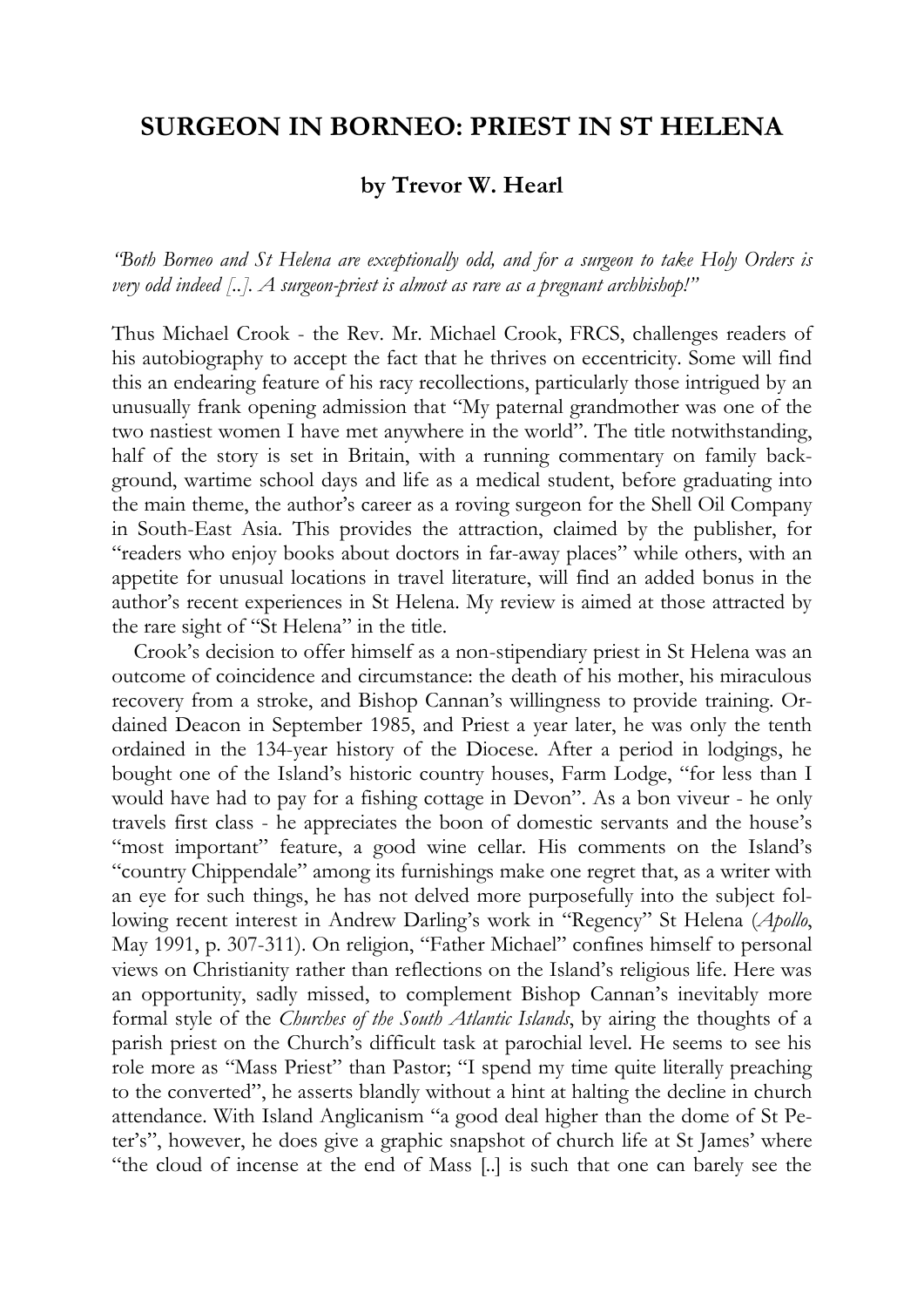## **SURGEON IN BORNEO: PRIEST IN ST HELENA**

## **by Trevor W. Hearl**

*"Both Borneo and St Helena are exceptionally odd, and for a surgeon to take Holy Orders is very odd indeed [..]. A surgeon-priest is almost as rare as a pregnant archbishop!"* 

Thus Michael Crook - the Rev. Mr. Michael Crook, FRCS, challenges readers of his autobiography to accept the fact that he thrives on eccentricity. Some will find this an endearing feature of his racy recollections, particularly those intrigued by an unusually frank opening admission that "My paternal grandmother was one of the two nastiest women I have met anywhere in the world". The title notwithstanding, half of the story is set in Britain, with a running commentary on family background, wartime school days and life as a medical student, before graduating into the main theme, the author's career as a roving surgeon for the Shell Oil Company in South-East Asia. This provides the attraction, claimed by the publisher, for "readers who enjoy books about doctors in far-away places" while others, with an appetite for unusual locations in travel literature, will find an added bonus in the author's recent experiences in St Helena. My review is aimed at those attracted by the rare sight of "St Helena" in the title.

Crook's decision to offer himself as a non-stipendiary priest in St Helena was an outcome of coincidence and circumstance: the death of his mother, his miraculous recovery from a stroke, and Bishop Cannan's willingness to provide training. Ordained Deacon in September 1985, and Priest a year later, he was only the tenth ordained in the 134-year history of the Diocese. After a period in lodgings, he bought one of the Island's historic country houses, Farm Lodge, "for less than I would have had to pay for a fishing cottage in Devon". As a bon viveur - he only travels first class - he appreciates the boon of domestic servants and the house's "most important" feature, a good wine cellar. His comments on the Island's "country Chippendale" among its furnishings make one regret that, as a writer with an eye for such things, he has not delved more purposefully into the subject following recent interest in Andrew Darling's work in "Regency" St Helena (*Apollo*, May 1991, p. 307-311). On religion, "Father Michael" confines himself to personal views on Christianity rather than reflections on the Island's religious life. Here was an opportunity, sadly missed, to complement Bishop Cannan's inevitably more formal style of the *Churches of the South Atlantic Islands*, by airing the thoughts of a parish priest on the Church's difficult task at parochial level. He seems to see his role more as "Mass Priest" than Pastor; "I spend my time quite literally preaching to the converted", he asserts blandly without a hint at halting the decline in church attendance. With Island Anglicanism "a good deal higher than the dome of St Peter's", however, he does give a graphic snapshot of church life at St James' where "the cloud of incense at the end of Mass [..] is such that one can barely see the